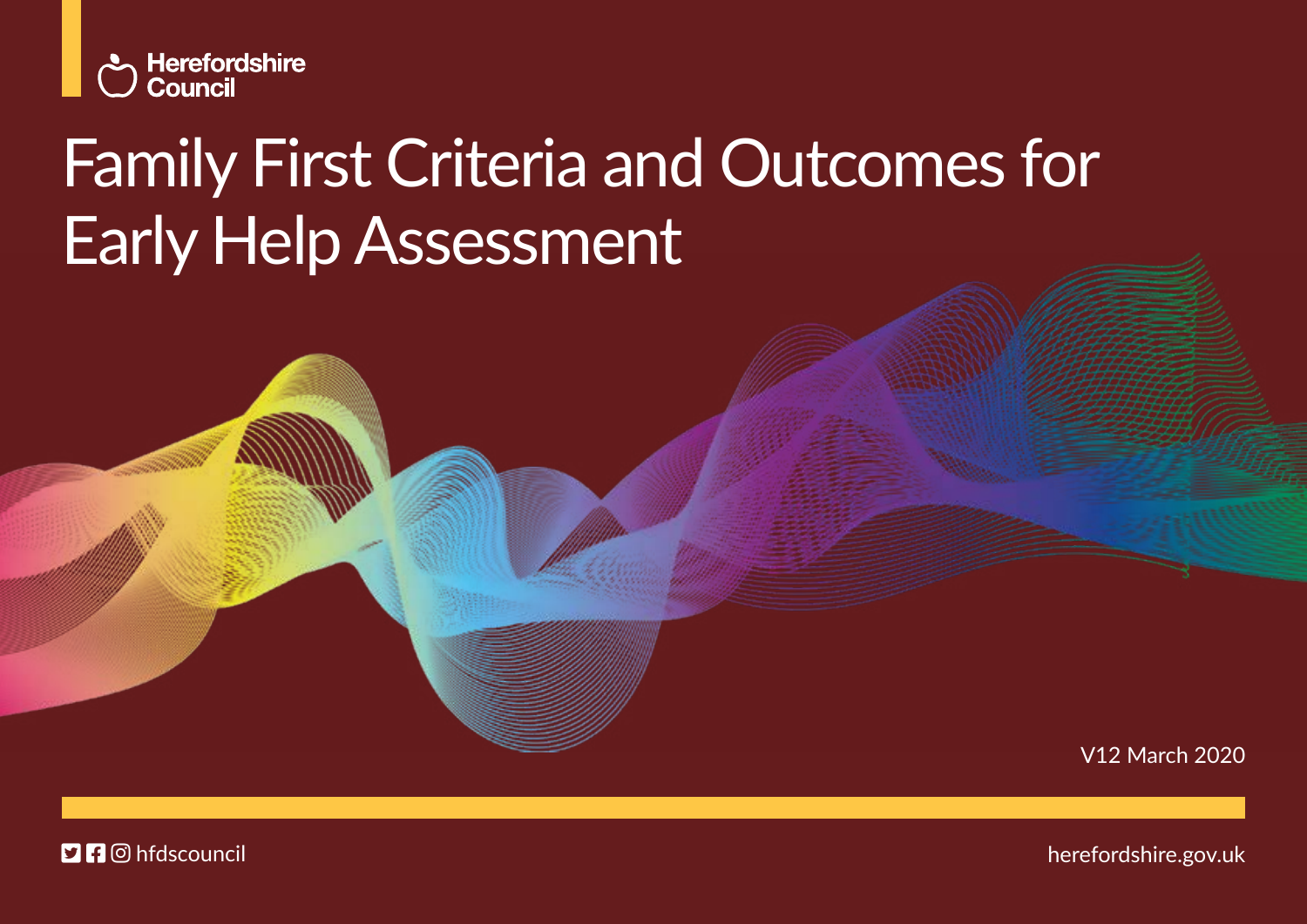

# Family First Criteria and Outcomes for Early Help Assessment

V12 March 2020

**DI**O hfdscouncil

herefordshire.gov.uk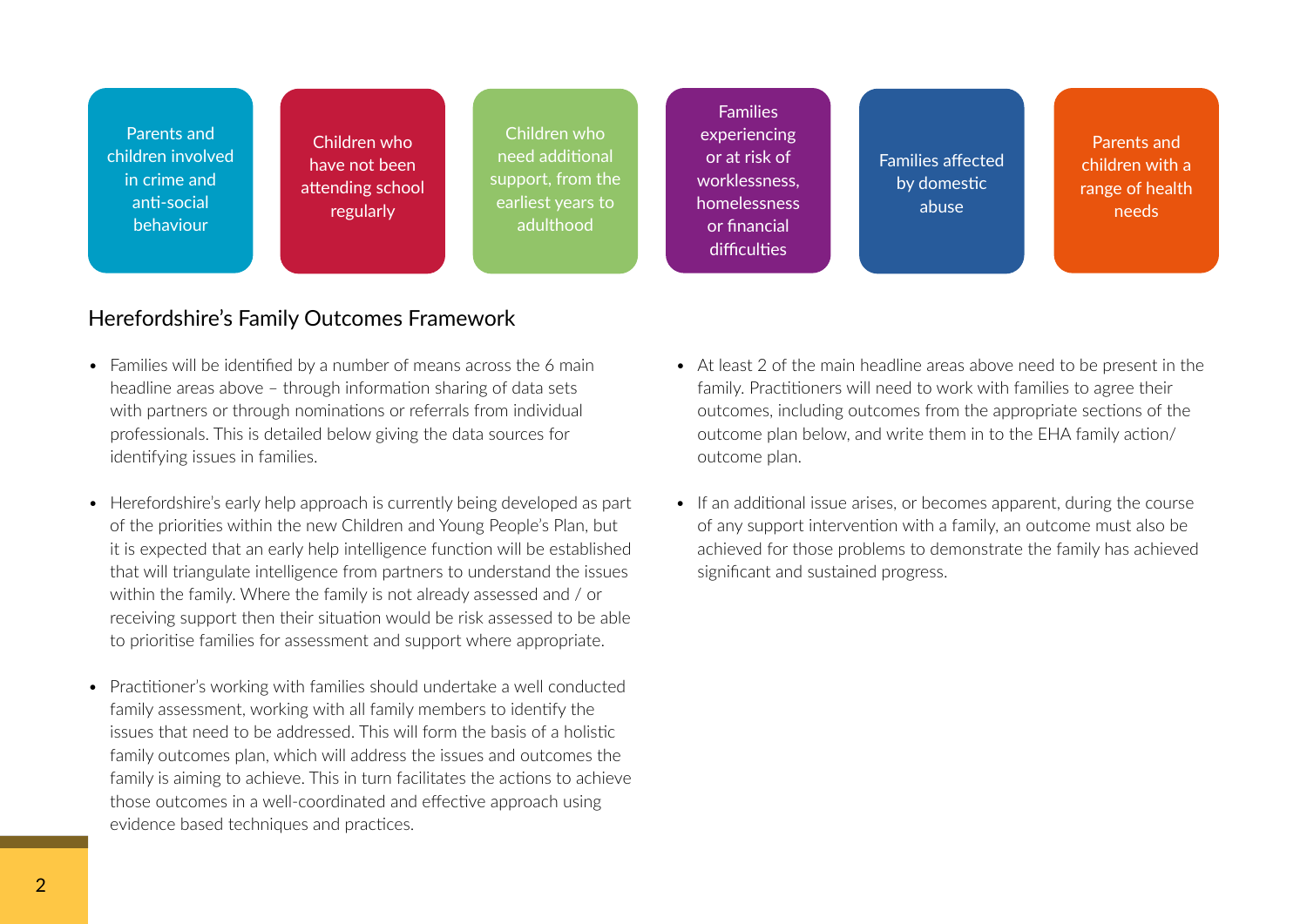Parents and children involved in crime and anti-social behaviour

Children who have not been attending school regularly

Children who need additional support, from the earliest years to adulthood

Families experiencing or at risk of worklessness, homelessness or financial difficulties

Families affected by domestic abuse

Parents and children with a range of health needs

#### Herefordshire's Family Outcomes Framework

- Families will be identified by a number of means across the 6 main headline areas above – through information sharing of data sets with partners or through nominations or referrals from individual professionals. This is detailed below giving the data sources for identifying issues in families.
- Herefordshire's early help approach is currently being developed as part of the priorities within the new Children and Young People's Plan, but it is expected that an early help intelligence function will be established that will triangulate intelligence from partners to understand the issues within the family. Where the family is not already assessed and / or receiving support then their situation would be risk assessed to be able to prioritise families for assessment and support where appropriate.
- Practitioner's working with families should undertake a well conducted family assessment, working with all family members to identify the issues that need to be addressed. This will form the basis of a holistic family outcomes plan, which will address the issues and outcomes the family is aiming to achieve. This in turn facilitates the actions to achieve those outcomes in a well-coordinated and effective approach using evidence based techniques and practices.
- At least 2 of the main headline areas above need to be present in the family. Practitioners will need to work with families to agree their outcomes, including outcomes from the appropriate sections of the outcome plan below, and write them in to the EHA family action/ outcome plan.
- If an additional issue arises, or becomes apparent, during the course of any support intervention with a family, an outcome must also be achieved for those problems to demonstrate the family has achieved significant and sustained progress.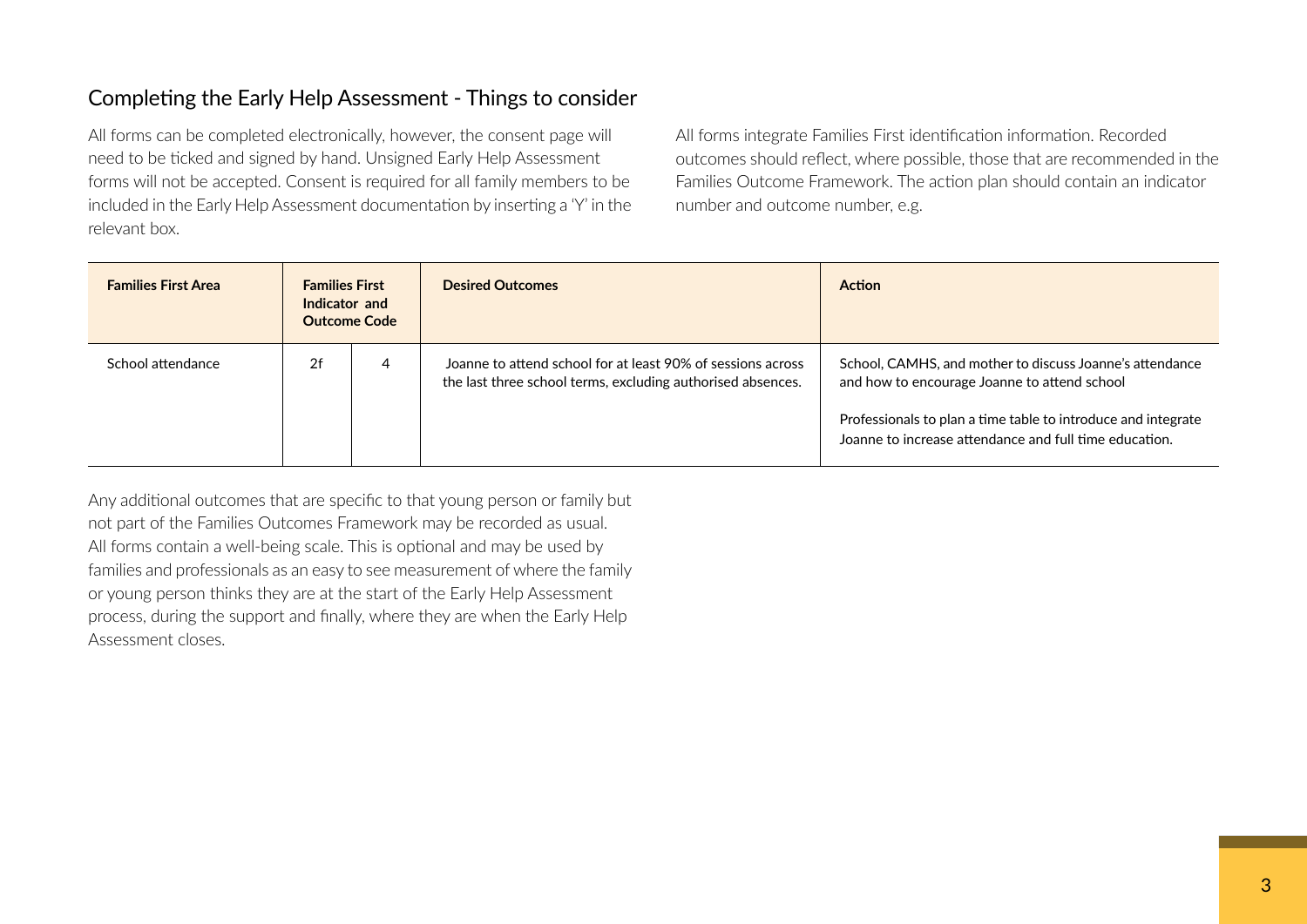## Completing the Early Help Assessment - Things to consider

 All forms can be completed electronically, however, the consent page will need to be ticked and signed by hand. Unsigned Early Help Assessment forms will not be accepted. Consent is required for all family members to be included in the Early Help Assessment documentation by inserting a 'Y' in the relevant box.

 All forms integrate Families First identification information. Recorded outcomes should reflect, where possible, those that are recommended in the Families Outcome Framework. The action plan should contain an indicator number and outcome number, e.g.

| <b>Families First Area</b> | <b>Families First</b><br>Indicator and<br><b>Outcome Code</b> |   | <b>Desired Outcomes</b>                                                                                                    | <b>Action</b>                                                                                                                                                                                                                       |
|----------------------------|---------------------------------------------------------------|---|----------------------------------------------------------------------------------------------------------------------------|-------------------------------------------------------------------------------------------------------------------------------------------------------------------------------------------------------------------------------------|
| School attendance          | 2f                                                            | 4 | Joanne to attend school for at least 90% of sessions across<br>the last three school terms, excluding authorised absences. | School, CAMHS, and mother to discuss Joanne's attendance<br>and how to encourage Joanne to attend school<br>Professionals to plan a time table to introduce and integrate<br>Joanne to increase attendance and full time education. |

 Any additional outcomes that are specific to that young person or family but not part of the Families Outcomes Framework may be recorded as usual. All forms contain a well-being scale. This is optional and may be used by families and professionals as an easy to see measurement of where the family or young person thinks they are at the start of the Early Help Assessment process, during the support and finally, where they are when the Early Help Assessment closes.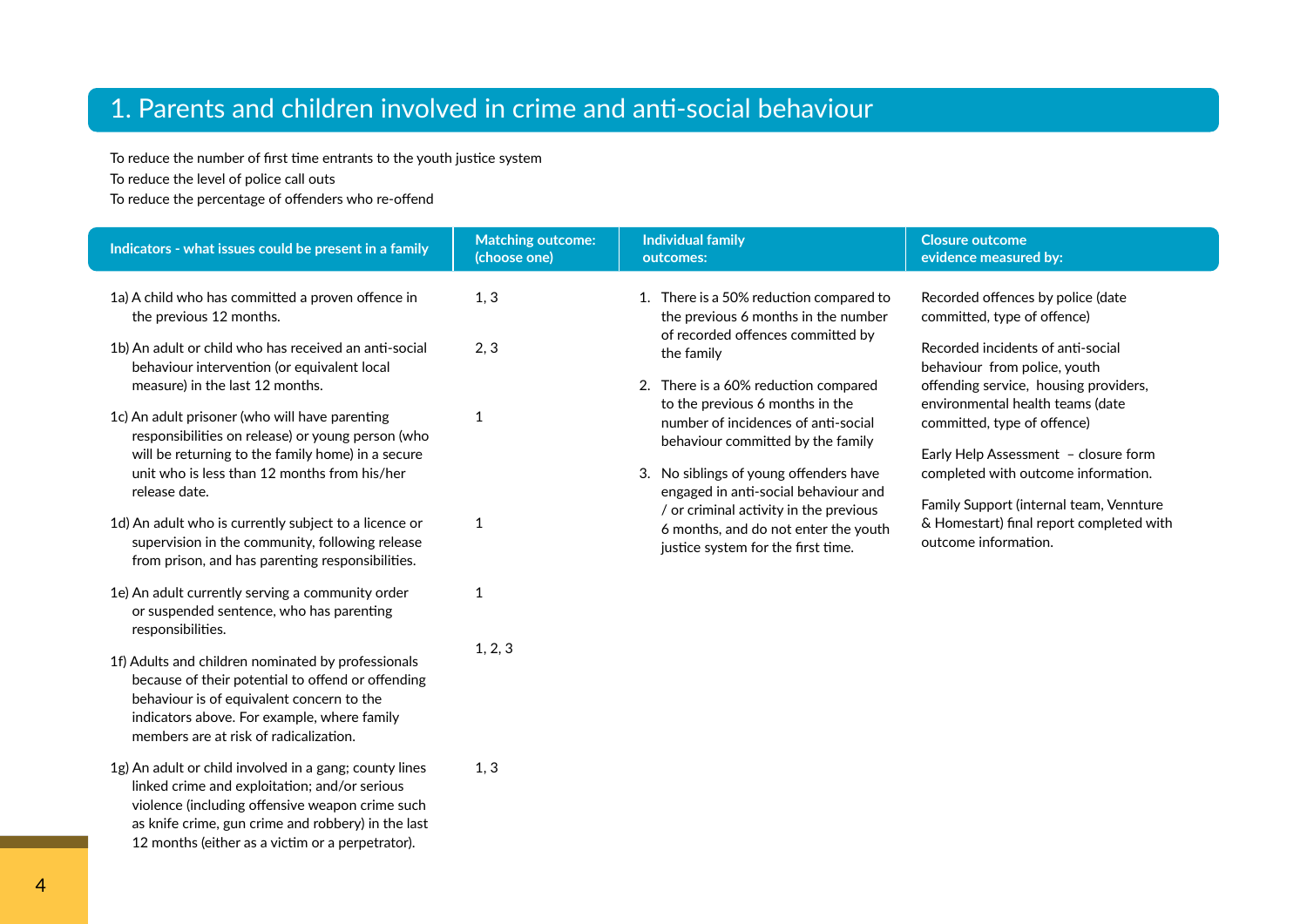# 1. Parents and children involved in crime and anti-social behaviour

To reduce the number of first time entrants to the youth justice system

To reduce the level of police call outs

To reduce the percentage of offenders who re-offend

as knife crime, gun crime and robbery) in the last 12 months (either as a victim or a perpetrator).

| Indicators - what issues could be present in a family                                                                                                                                                                                                                                                                                                                                                                         | <b>Matching outcome:</b><br>(choose one) | <b>Individual family</b><br>outcomes:                                                                                                                                                                                                                                                                                              | <b>Closure outcome</b><br>evidence measured by:                                                                                                                                                                                                                                                                                                     |
|-------------------------------------------------------------------------------------------------------------------------------------------------------------------------------------------------------------------------------------------------------------------------------------------------------------------------------------------------------------------------------------------------------------------------------|------------------------------------------|------------------------------------------------------------------------------------------------------------------------------------------------------------------------------------------------------------------------------------------------------------------------------------------------------------------------------------|-----------------------------------------------------------------------------------------------------------------------------------------------------------------------------------------------------------------------------------------------------------------------------------------------------------------------------------------------------|
| 1a) A child who has committed a proven offence in<br>the previous 12 months.                                                                                                                                                                                                                                                                                                                                                  | 1, 3                                     | 1. There is a 50% reduction compared to<br>the previous 6 months in the number                                                                                                                                                                                                                                                     | Recorded offences by police (date<br>committed, type of offence)                                                                                                                                                                                                                                                                                    |
| 1b) An adult or child who has received an anti-social<br>behaviour intervention (or equivalent local<br>measure) in the last 12 months.<br>1c) An adult prisoner (who will have parenting<br>responsibilities on release) or young person (who<br>will be returning to the family home) in a secure<br>unit who is less than 12 months from his/her<br>release date.<br>1d) An adult who is currently subject to a licence or | 2, 3<br>1<br>1                           | of recorded offences committed by<br>the family<br>2. There is a 60% reduction compared<br>to the previous 6 months in the<br>number of incidences of anti-social<br>behaviour committed by the family<br>3. No siblings of young offenders have<br>engaged in anti-social behaviour and<br>/ or criminal activity in the previous | Recorded incidents of anti-social<br>behaviour from police, youth<br>offending service, housing providers,<br>environmental health teams (date<br>committed, type of offence)<br>Early Help Assessment - closure form<br>completed with outcome information.<br>Family Support (internal team, Vennture<br>& Homestart) final report completed with |
| supervision in the community, following release<br>from prison, and has parenting responsibilities.                                                                                                                                                                                                                                                                                                                           |                                          | 6 months, and do not enter the youth<br>justice system for the first time.                                                                                                                                                                                                                                                         | outcome information.                                                                                                                                                                                                                                                                                                                                |
| 1e) An adult currently serving a community order<br>or suspended sentence, who has parenting<br>responsibilities.                                                                                                                                                                                                                                                                                                             | 1                                        |                                                                                                                                                                                                                                                                                                                                    |                                                                                                                                                                                                                                                                                                                                                     |
| 1f) Adults and children nominated by professionals<br>because of their potential to offend or offending<br>behaviour is of equivalent concern to the<br>indicators above. For example, where family<br>members are at risk of radicalization.                                                                                                                                                                                 | 1, 2, 3                                  |                                                                                                                                                                                                                                                                                                                                    |                                                                                                                                                                                                                                                                                                                                                     |
| 1g) An adult or child involved in a gang; county lines<br>linked crime and exploitation; and/or serious<br>violence (including offensive weapon crime such                                                                                                                                                                                                                                                                    | 1, 3                                     |                                                                                                                                                                                                                                                                                                                                    |                                                                                                                                                                                                                                                                                                                                                     |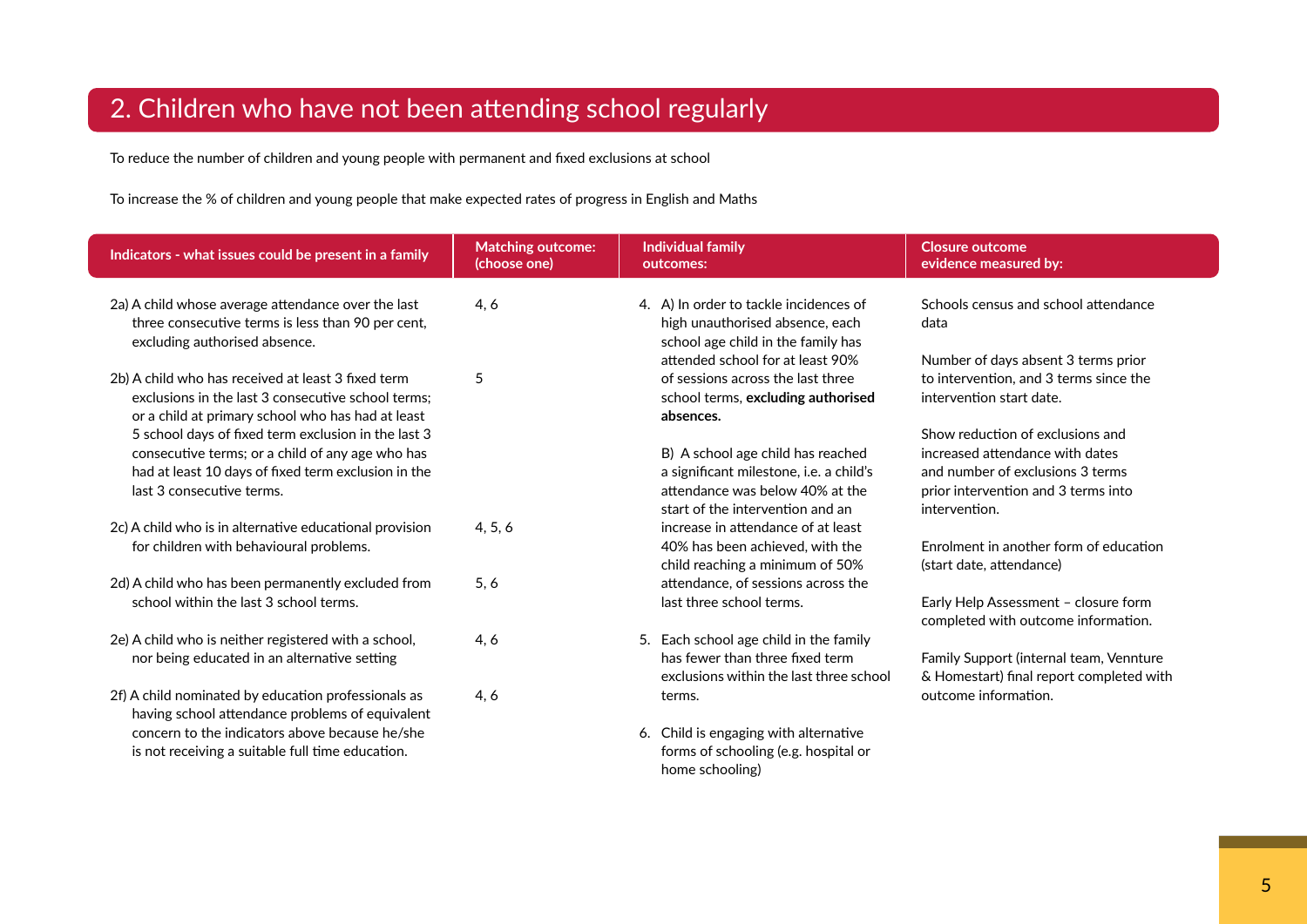# 2. Children who have not been attending school regularly

To reduce the number of children and young people with permanent and fixed exclusions at school

To increase the % of children and young people that make expected rates of progress in English and Maths

| Indicators - what issues could be present in a family                                                                                                                                       | <b>Matching outcome:</b><br>(choose one) | <b>Individual family</b><br>outcomes:                                                                                                               | <b>Closure outcome</b><br>evidence measured by:                                                                                                                 |
|---------------------------------------------------------------------------------------------------------------------------------------------------------------------------------------------|------------------------------------------|-----------------------------------------------------------------------------------------------------------------------------------------------------|-----------------------------------------------------------------------------------------------------------------------------------------------------------------|
| 2a) A child whose average attendance over the last<br>three consecutive terms is less than 90 per cent,<br>excluding authorised absence.                                                    | 4, 6                                     | 4. A) In order to tackle incidences of<br>high unauthorised absence, each<br>school age child in the family has<br>attended school for at least 90% | Schools census and school attendance<br>data<br>Number of days absent 3 terms prior                                                                             |
| 2b) A child who has received at least 3 fixed term<br>exclusions in the last 3 consecutive school terms:<br>or a child at primary school who has had at least                               | 5                                        | of sessions across the last three<br>school terms, excluding authorised<br>absences.                                                                | to intervention, and 3 terms since the<br>intervention start date.                                                                                              |
| 5 school days of fixed term exclusion in the last 3<br>consecutive terms; or a child of any age who has<br>had at least 10 days of fixed term exclusion in the<br>last 3 consecutive terms. |                                          | B) A school age child has reached<br>a significant milestone, i.e. a child's<br>attendance was below 40% at the<br>start of the intervention and an | Show reduction of exclusions and<br>increased attendance with dates<br>and number of exclusions 3 terms<br>prior intervention and 3 terms into<br>intervention. |
| 2c) A child who is in alternative educational provision<br>for children with behavioural problems.                                                                                          | 4, 5, 6                                  | increase in attendance of at least<br>40% has been achieved, with the<br>child reaching a minimum of 50%                                            | Enrolment in another form of education<br>(start date, attendance)                                                                                              |
| 2d) A child who has been permanently excluded from<br>school within the last 3 school terms.                                                                                                | 5, 6                                     | attendance, of sessions across the<br>last three school terms.                                                                                      | Early Help Assessment - closure form<br>completed with outcome information.                                                                                     |
| 2e) A child who is neither registered with a school,<br>nor being educated in an alternative setting                                                                                        | 4, 6                                     | 5. Each school age child in the family<br>has fewer than three fixed term<br>exclusions within the last three school                                | Family Support (internal team, Vennture<br>& Homestart) final report completed with                                                                             |
| 2f) A child nominated by education professionals as<br>having school attendance problems of equivalent                                                                                      | 4, 6                                     | terms.                                                                                                                                              | outcome information.                                                                                                                                            |
| concern to the indicators above because he/she<br>is not receiving a suitable full time education.                                                                                          |                                          | 6. Child is engaging with alternative<br>forms of schooling (e.g. hospital or<br>home schooling)                                                    |                                                                                                                                                                 |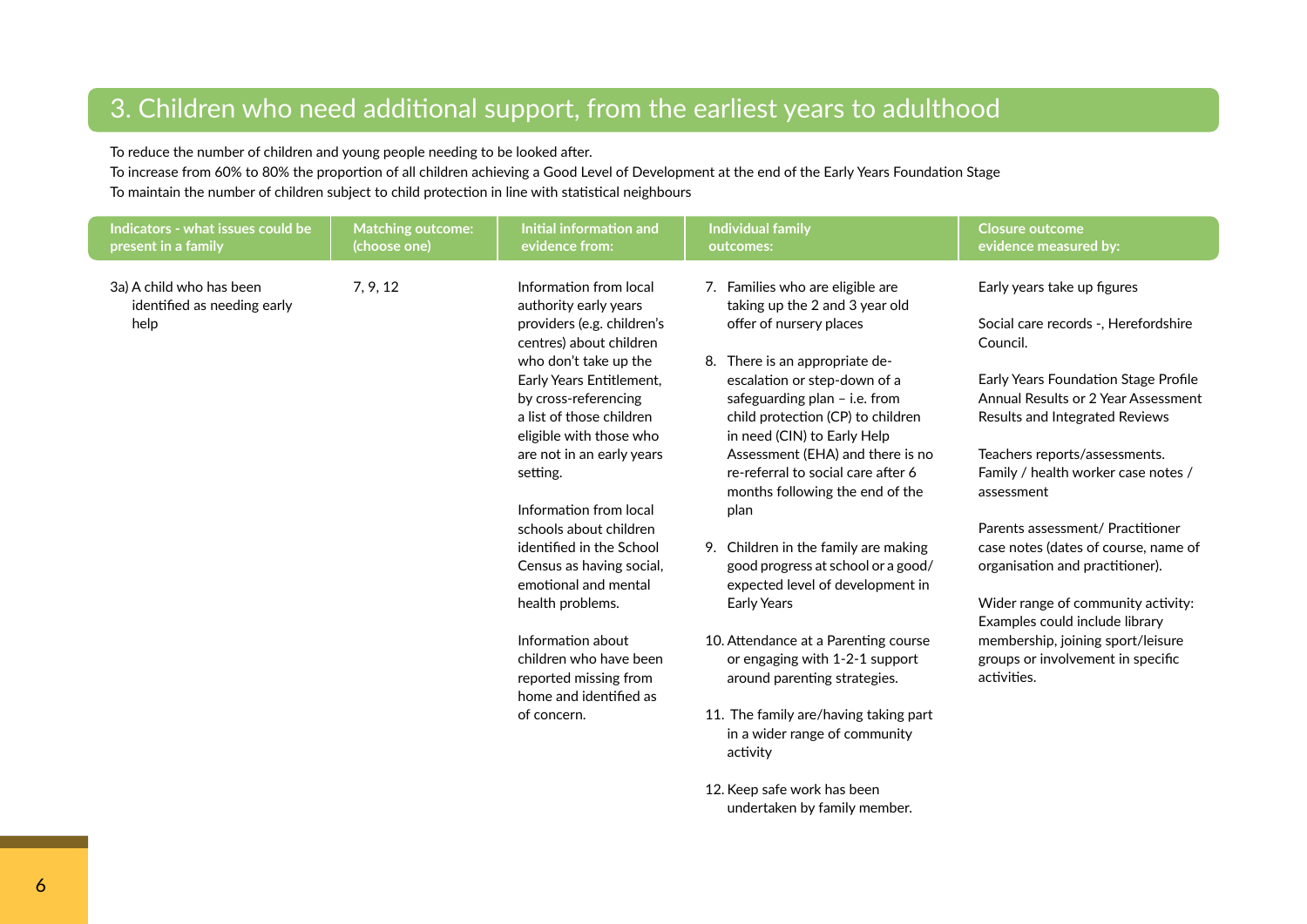# 3. Children who need additional support, from the earliest years to adulthood

To reduce the number of children and young people needing to be looked after.

To increase from 60% to 80% the proportion of all children achieving a Good Level of Development at the end of the Early Years Foundation Stage To maintain the number of children subject to child protection in line with statistical neighbours

| Indicators - what issues could be<br>present in a family        | <b>Matching outcome:</b><br>(choose one) | Initial information and<br>evidence from:                                                                                                                                                                                                                                                                                                                                                                                                                                                                                                                      | <b>Individual family</b><br>outcomes:                                                                                                                                                                                                                                                                                                                                                                                                                                                                                                                                                                                                                                                                                                                            | <b>Closure outcome</b><br>evidence measured by:                                                                                                                                                                                                                                                                                                                                                                                                                                                                                                                        |
|-----------------------------------------------------------------|------------------------------------------|----------------------------------------------------------------------------------------------------------------------------------------------------------------------------------------------------------------------------------------------------------------------------------------------------------------------------------------------------------------------------------------------------------------------------------------------------------------------------------------------------------------------------------------------------------------|------------------------------------------------------------------------------------------------------------------------------------------------------------------------------------------------------------------------------------------------------------------------------------------------------------------------------------------------------------------------------------------------------------------------------------------------------------------------------------------------------------------------------------------------------------------------------------------------------------------------------------------------------------------------------------------------------------------------------------------------------------------|------------------------------------------------------------------------------------------------------------------------------------------------------------------------------------------------------------------------------------------------------------------------------------------------------------------------------------------------------------------------------------------------------------------------------------------------------------------------------------------------------------------------------------------------------------------------|
| 3a) A child who has been<br>identified as needing early<br>help | 7, 9, 12                                 | Information from local<br>authority early years<br>providers (e.g. children's<br>centres) about children<br>who don't take up the<br>Early Years Entitlement,<br>by cross-referencing<br>a list of those children<br>eligible with those who<br>are not in an early years<br>setting.<br>Information from local<br>schools about children<br>identified in the School<br>Census as having social,<br>emotional and mental<br>health problems.<br>Information about<br>children who have been<br>reported missing from<br>home and identified as<br>of concern. | 7. Families who are eligible are<br>taking up the 2 and 3 year old<br>offer of nursery places<br>8. There is an appropriate de-<br>escalation or step-down of a<br>safeguarding plan - i.e. from<br>child protection (CP) to children<br>in need (CIN) to Early Help<br>Assessment (EHA) and there is no<br>re-referral to social care after 6<br>months following the end of the<br>plan<br>9. Children in the family are making<br>good progress at school or a good/<br>expected level of development in<br><b>Early Years</b><br>10. Attendance at a Parenting course<br>or engaging with 1-2-1 support<br>around parenting strategies.<br>11. The family are/having taking part<br>in a wider range of community<br>activity<br>12. Keep safe work has been | Early years take up figures<br>Social care records -, Herefordshire<br>Council.<br>Early Years Foundation Stage Profile<br>Annual Results or 2 Year Assessment<br>Results and Integrated Reviews<br>Teachers reports/assessments.<br>Family / health worker case notes /<br>assessment<br>Parents assessment/ Practitioner<br>case notes (dates of course, name of<br>organisation and practitioner).<br>Wider range of community activity:<br>Examples could include library<br>membership, joining sport/leisure<br>groups or involvement in specific<br>activities. |
|                                                                 |                                          |                                                                                                                                                                                                                                                                                                                                                                                                                                                                                                                                                                | undertaken by family member.                                                                                                                                                                                                                                                                                                                                                                                                                                                                                                                                                                                                                                                                                                                                     |                                                                                                                                                                                                                                                                                                                                                                                                                                                                                                                                                                        |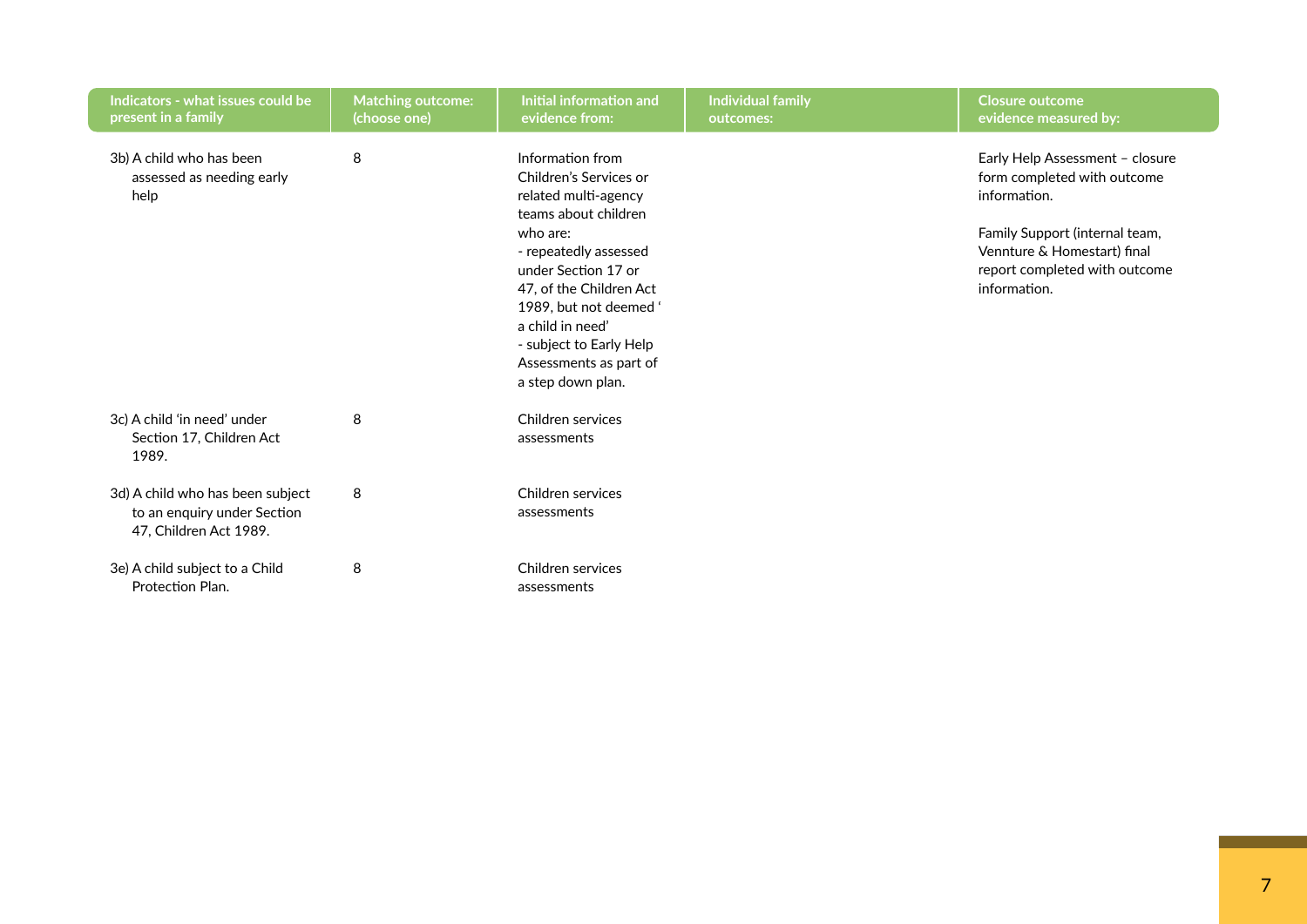| Indicators - what issues could be<br>present in a family      | <b>Matching outcome:</b><br>(choose one) | Initial information and<br>evidence from:                                                  | <b>Individual family</b><br>outcomes: | <b>Closure outcome</b><br>evidence measured by:                                |
|---------------------------------------------------------------|------------------------------------------|--------------------------------------------------------------------------------------------|---------------------------------------|--------------------------------------------------------------------------------|
| 3b) A child who has been<br>assessed as needing early<br>help | 8                                        | Information from<br>Children's Services or<br>related multi-agency<br>teams about children |                                       | Early Help Assessment - closure<br>form completed with outcome<br>information. |
|                                                               |                                          | who are:<br>- repeatedly assessed                                                          |                                       | Family Support (internal team,<br>Vennture & Homestart) final                  |
|                                                               |                                          | under Section 17 or                                                                        |                                       | report completed with outcome                                                  |
|                                                               |                                          | 47, of the Children Act<br>1989. but not deemed '                                          |                                       | information.                                                                   |
|                                                               |                                          | a child in need'                                                                           |                                       |                                                                                |
|                                                               |                                          | - subject to Early Help                                                                    |                                       |                                                                                |
|                                                               |                                          | Assessments as part of<br>a step down plan.                                                |                                       |                                                                                |
| 3c) A child 'in need' under                                   | 8                                        | Children services                                                                          |                                       |                                                                                |
| Section 17, Children Act<br>1989.                             |                                          | assessments                                                                                |                                       |                                                                                |
| 3d) A child who has been subject                              | 8                                        | Children services                                                                          |                                       |                                                                                |
| to an enquiry under Section<br>47, Children Act 1989.         |                                          | assessments                                                                                |                                       |                                                                                |
| 3e) A child subject to a Child                                | 8                                        | Children services                                                                          |                                       |                                                                                |
| Protection Plan.                                              |                                          | assessments                                                                                |                                       |                                                                                |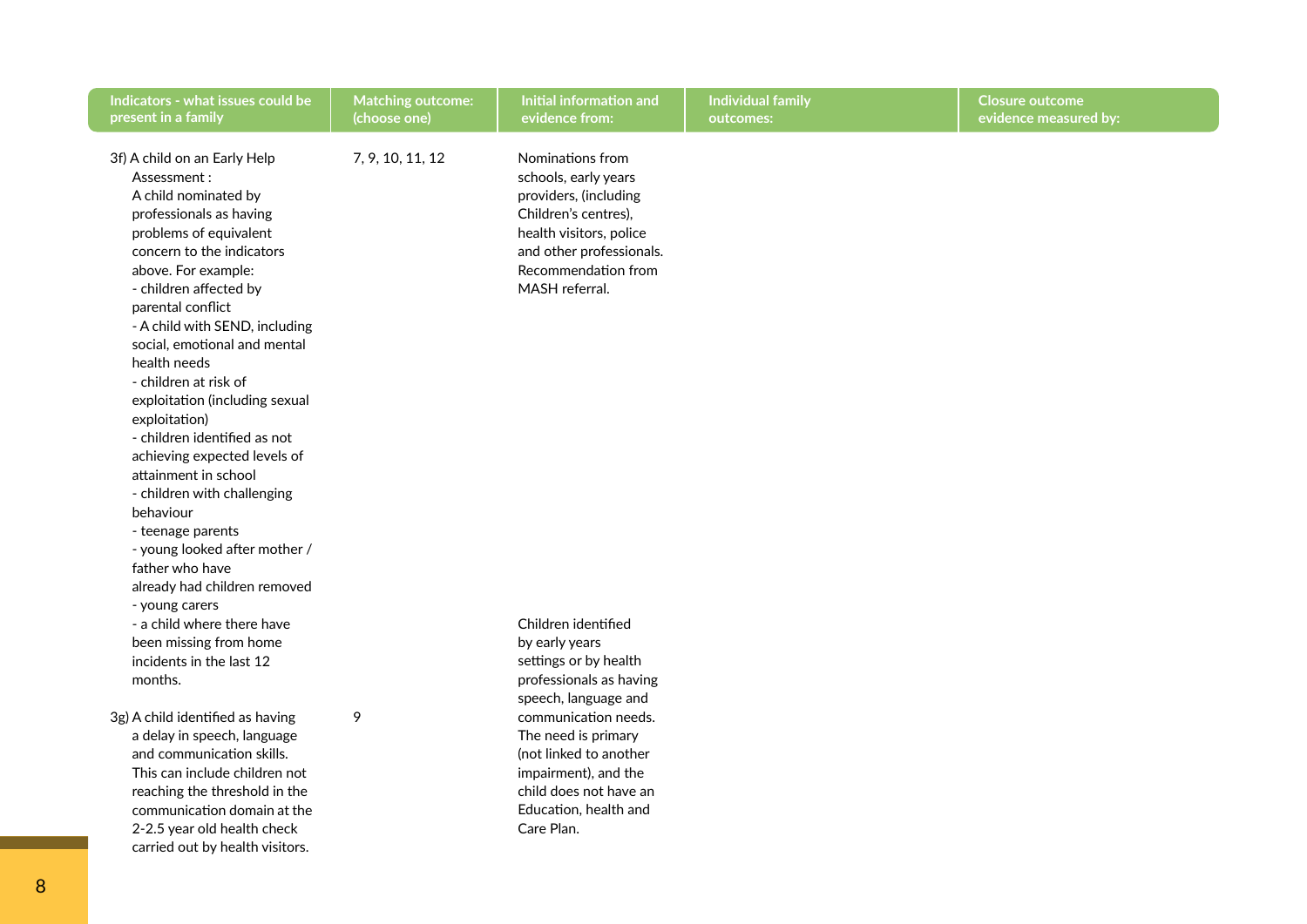| Indicators - what issues could be<br>present in a family                                                                                                                                                                                                                                                                                                                                                                                                                                                                                                                                                                                                                                                                                                | <b>Matching outcome:</b><br>(choose one) | Initial information and<br>evidence from:                                                                                                                                                                                                                                                                      | Individual family<br>outcomes: | <b>Closure outcome</b><br>evidence measured by: |
|---------------------------------------------------------------------------------------------------------------------------------------------------------------------------------------------------------------------------------------------------------------------------------------------------------------------------------------------------------------------------------------------------------------------------------------------------------------------------------------------------------------------------------------------------------------------------------------------------------------------------------------------------------------------------------------------------------------------------------------------------------|------------------------------------------|----------------------------------------------------------------------------------------------------------------------------------------------------------------------------------------------------------------------------------------------------------------------------------------------------------------|--------------------------------|-------------------------------------------------|
| 3f) A child on an Early Help<br>Assessment:<br>A child nominated by<br>professionals as having<br>problems of equivalent<br>concern to the indicators<br>above. For example:<br>- children affected by<br>parental conflict<br>- A child with SEND, including<br>social, emotional and mental<br>health needs<br>- children at risk of<br>exploitation (including sexual<br>exploitation)<br>- children identified as not<br>achieving expected levels of<br>attainment in school<br>- children with challenging<br>behaviour<br>- teenage parents<br>- young looked after mother /<br>father who have<br>already had children removed<br>- young carers<br>- a child where there have<br>been missing from home<br>incidents in the last 12<br>months. | 7, 9, 10, 11, 12                         | Nominations from<br>schools, early years<br>providers, (including<br>Children's centres),<br>health visitors, police<br>and other professionals.<br>Recommendation from<br>MASH referral.<br>Children identified<br>by early years<br>settings or by health<br>professionals as having<br>speech, language and |                                |                                                 |
| 3g) A child identified as having<br>a delay in speech, language<br>and communication skills.<br>This can include children not<br>reaching the threshold in the<br>communication domain at the<br>2-2.5 year old health check<br>carried out by health visitors.                                                                                                                                                                                                                                                                                                                                                                                                                                                                                         | 9                                        | communication needs.<br>The need is primary<br>(not linked to another<br>impairment), and the<br>child does not have an<br>Education, health and<br>Care Plan.                                                                                                                                                 |                                |                                                 |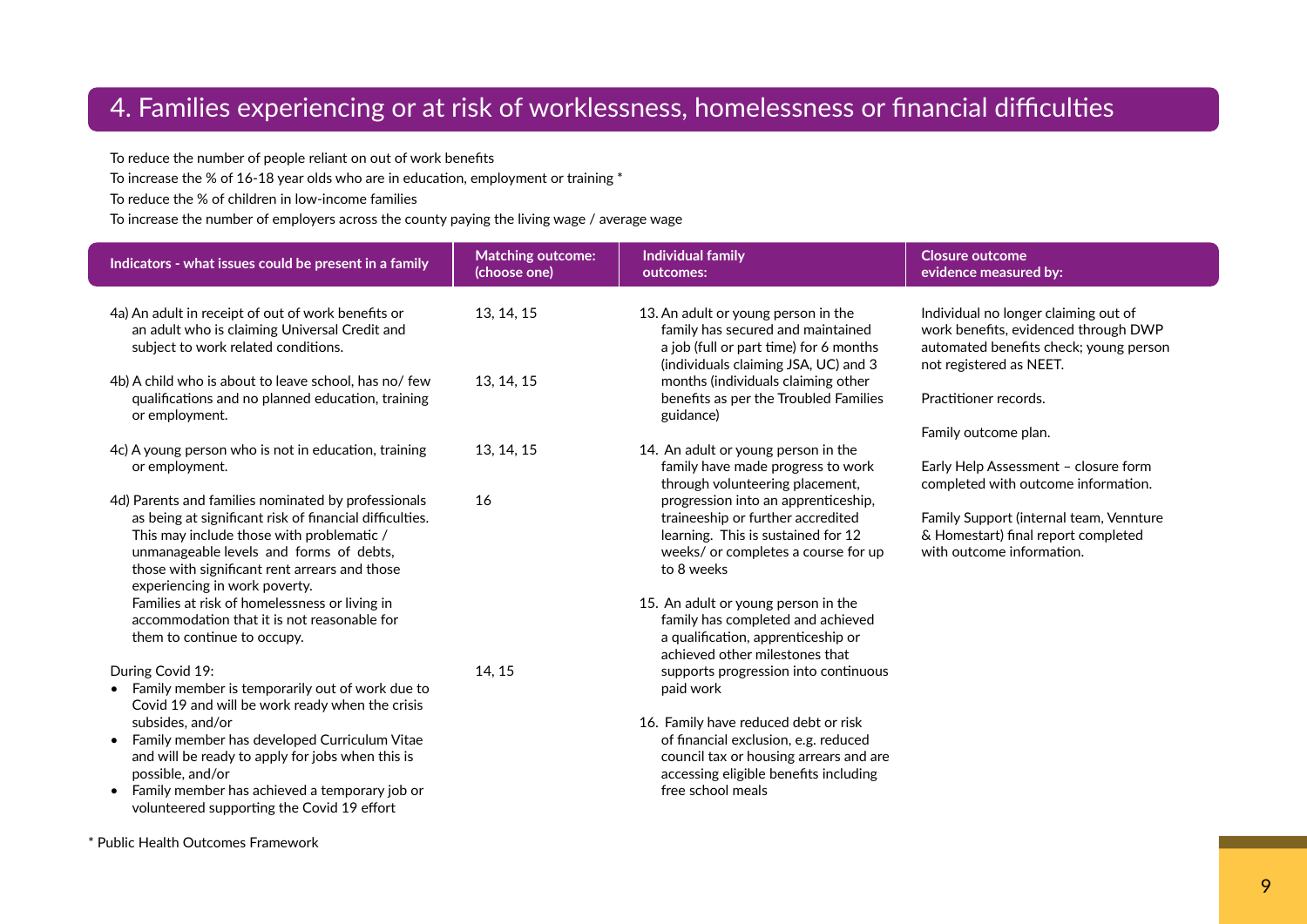## 4. Families experiencing or at risk of worklessness, homelessness or financial difficulties

To reduce the number of people reliant on out of work benefits

To increase the % of 16-18 year olds who are in education, employment or training \*

To reduce the % of children in low-income families

To increase the number of employers across the county paying the living wage / average wage

| Indicators - what issues could be present in a family                                                                                                                                                                                                                                    | <b>Matching outcome:</b><br>(choose one) | <b>Individual family</b><br>outcomes:                                                                                                                                                | <b>Closure outcome</b><br>evidence measured by:                                                                                                   |
|------------------------------------------------------------------------------------------------------------------------------------------------------------------------------------------------------------------------------------------------------------------------------------------|------------------------------------------|--------------------------------------------------------------------------------------------------------------------------------------------------------------------------------------|---------------------------------------------------------------------------------------------------------------------------------------------------|
| 4a) An adult in receipt of out of work benefits or<br>an adult who is claiming Universal Credit and<br>subject to work related conditions.                                                                                                                                               | 13, 14, 15                               | 13. An adult or young person in the<br>family has secured and maintained<br>a job (full or part time) for 6 months<br>(individuals claiming JSA, UC) and 3                           | Individual no longer claiming out of<br>work benefits, evidenced through DWP<br>automated benefits check; young person<br>not registered as NEET. |
| 4b) A child who is about to leave school, has no/ few<br>qualifications and no planned education, training<br>or employment.                                                                                                                                                             | 13, 14, 15                               | months (individuals claiming other<br>benefits as per the Troubled Families<br>guidance)                                                                                             | Practitioner records.                                                                                                                             |
|                                                                                                                                                                                                                                                                                          |                                          |                                                                                                                                                                                      | Family outcome plan.                                                                                                                              |
| 4c) A young person who is not in education, training<br>or employment.                                                                                                                                                                                                                   | 13, 14, 15                               | 14. An adult or young person in the<br>family have made progress to work<br>through volunteering placement,                                                                          | Early Help Assessment - closure form<br>completed with outcome information.                                                                       |
| 4d) Parents and families nominated by professionals<br>as being at significant risk of financial difficulties.<br>This may include those with problematic /<br>unmanageable levels and forms of debts,<br>those with significant rent arrears and those<br>experiencing in work poverty. | 16                                       | progression into an apprenticeship,<br>traineeship or further accredited<br>learning. This is sustained for 12<br>weeks/ or completes a course for up<br>to 8 weeks                  | Family Support (internal team, Vennture<br>& Homestart) final report completed<br>with outcome information.                                       |
| Families at risk of homelessness or living in<br>accommodation that it is not reasonable for<br>them to continue to occupy.                                                                                                                                                              |                                          | 15. An adult or young person in the<br>family has completed and achieved<br>a qualification, apprenticeship or<br>achieved other milestones that                                     |                                                                                                                                                   |
| During Covid 19:<br>Family member is temporarily out of work due to<br>$\bullet$<br>Covid 19 and will be work ready when the crisis                                                                                                                                                      | 14, 15                                   | supports progression into continuous<br>paid work                                                                                                                                    |                                                                                                                                                   |
| subsides, and/or<br>Family member has developed Curriculum Vitae<br>$\bullet$<br>and will be ready to apply for jobs when this is<br>possible, and/or<br>Family member has achieved a temporary job or<br>volunteered supporting the Covid 19 effort                                     |                                          | 16. Family have reduced debt or risk<br>of financial exclusion, e.g. reduced<br>council tax or housing arrears and are<br>accessing eligible benefits including<br>free school meals |                                                                                                                                                   |

\* Public Health Outcomes Framework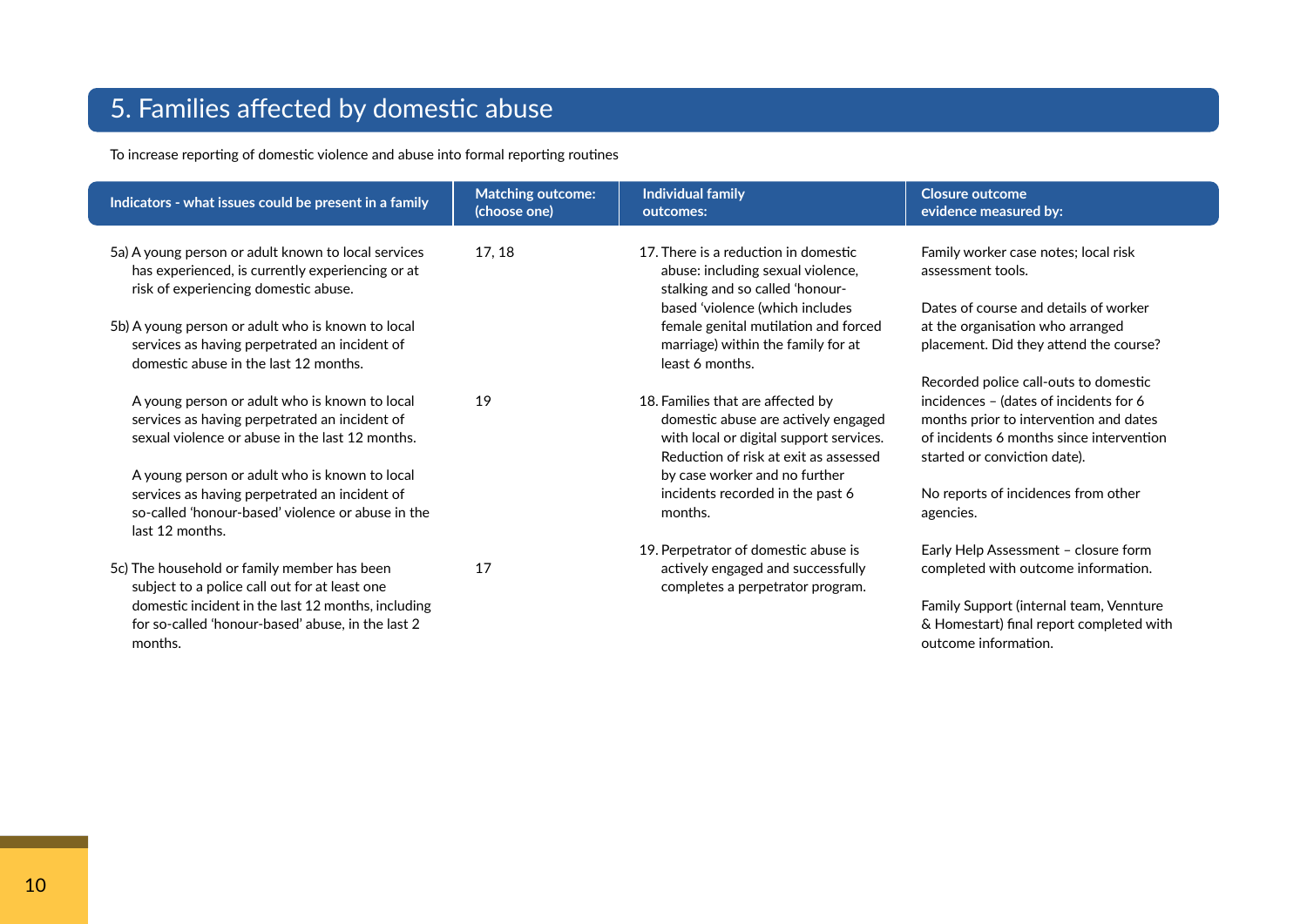# 5. Families affected by domestic abuse

To increase reporting of domestic violence and abuse into formal reporting routines

| Indicators - what issues could be present in a family                                                                                                                  | <b>Matching outcome:</b><br>(choose one) | <b>Individual family</b><br>outcomes:                                                                                            | <b>Closure outcome</b><br>evidence measured by:                                                                           |
|------------------------------------------------------------------------------------------------------------------------------------------------------------------------|------------------------------------------|----------------------------------------------------------------------------------------------------------------------------------|---------------------------------------------------------------------------------------------------------------------------|
| 5a) A young person or adult known to local services<br>has experienced, is currently experiencing or at<br>risk of experiencing domestic abuse.                        | 17, 18                                   | 17. There is a reduction in domestic<br>abuse: including sexual violence,<br>stalking and so called 'honour-                     | Family worker case notes; local risk<br>assessment tools.                                                                 |
| 5b) A young person or adult who is known to local<br>services as having perpetrated an incident of<br>domestic abuse in the last 12 months.                            |                                          | based 'violence (which includes<br>female genital mutilation and forced<br>marriage) within the family for at<br>least 6 months. | Dates of course and details of worker<br>at the organisation who arranged<br>placement. Did they attend the course?       |
| A young person or adult who is known to local                                                                                                                          | 19                                       | 18. Families that are affected by                                                                                                | Recorded police call-outs to domestic<br>incidences - (dates of incidents for 6<br>months prior to intervention and dates |
| services as having perpetrated an incident of<br>sexual violence or abuse in the last 12 months.                                                                       |                                          | domestic abuse are actively engaged<br>with local or digital support services.<br>Reduction of risk at exit as assessed          | of incidents 6 months since intervention<br>started or conviction date).                                                  |
| A young person or adult who is known to local<br>services as having perpetrated an incident of<br>so-called 'honour-based' violence or abuse in the<br>last 12 months. |                                          | by case worker and no further<br>incidents recorded in the past 6<br>months.                                                     | No reports of incidences from other<br>agencies.                                                                          |
|                                                                                                                                                                        |                                          | 19. Perpetrator of domestic abuse is                                                                                             | Early Help Assessment - closure form                                                                                      |
| 5c) The household or family member has been<br>subject to a police call out for at least one                                                                           | 17                                       | actively engaged and successfully<br>completes a perpetrator program.                                                            | completed with outcome information.                                                                                       |
| domestic incident in the last 12 months, including<br>for so-called 'honour-based' abuse, in the last 2<br>months.                                                     |                                          |                                                                                                                                  | Family Support (internal team, Vennture<br>& Homestart) final report completed with<br>outcome information.               |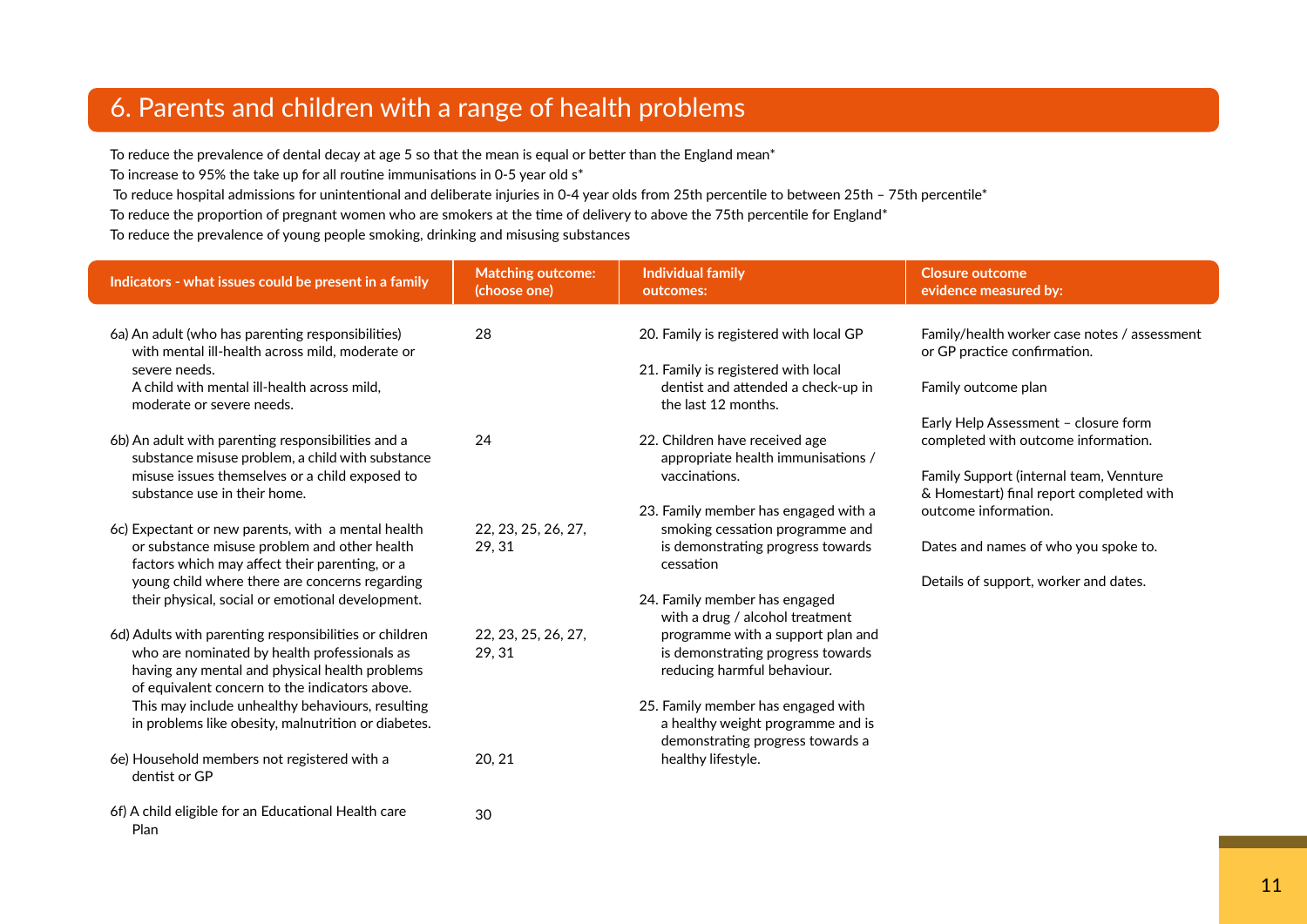## 6. Parents and children with a range of health problems

To reduce the prevalence of dental decay at age 5 so that the mean is equal or better than the England mean\*

To increase to 95% the take up for all routine immunisations in 0-5 year old s\*

Plan

To reduce hospital admissions for unintentional and deliberate injuries in 0-4 year olds from 25th percentile to between 25th – 75th percentile\*

To reduce the proportion of pregnant women who are smokers at the time of delivery to above the 75th percentile for England\*

To reduce the prevalence of young people smoking, drinking and misusing substances

| Indicators - what issues could be present in a family                                                                                            | <b>Matching outcome:</b><br>(choose one) | <b>Individual family</b><br>outcomes:                                 | <b>Closure outcome</b><br>evidence measured by:                                     |
|--------------------------------------------------------------------------------------------------------------------------------------------------|------------------------------------------|-----------------------------------------------------------------------|-------------------------------------------------------------------------------------|
|                                                                                                                                                  |                                          |                                                                       |                                                                                     |
| 6a) An adult (who has parenting responsibilities)<br>with mental ill-health across mild, moderate or                                             | 28                                       | 20. Family is registered with local GP                                | Family/health worker case notes / assessment<br>or GP practice confirmation.        |
| severe needs.                                                                                                                                    |                                          | 21. Family is registered with local                                   |                                                                                     |
| A child with mental ill-health across mild.<br>moderate or severe needs.                                                                         |                                          | dentist and attended a check-up in<br>the last 12 months.             | Family outcome plan                                                                 |
|                                                                                                                                                  |                                          |                                                                       | Early Help Assessment - closure form                                                |
| 6b) An adult with parenting responsibilities and a<br>substance misuse problem, a child with substance                                           | 24                                       | 22. Children have received age<br>appropriate health immunisations /  | completed with outcome information.                                                 |
| misuse issues themselves or a child exposed to<br>substance use in their home.                                                                   |                                          | vaccinations.                                                         | Family Support (internal team, Vennture<br>& Homestart) final report completed with |
|                                                                                                                                                  |                                          | 23. Family member has engaged with a                                  | outcome information.                                                                |
| 6c) Expectant or new parents, with a mental health                                                                                               | 22, 23, 25, 26, 27,                      | smoking cessation programme and                                       |                                                                                     |
| or substance misuse problem and other health<br>factors which may affect their parenting, or a                                                   | 29, 31                                   | is demonstrating progress towards<br>cessation                        | Dates and names of who you spoke to.                                                |
| young child where there are concerns regarding                                                                                                   |                                          |                                                                       | Details of support, worker and dates.                                               |
| their physical, social or emotional development.                                                                                                 |                                          | 24. Family member has engaged<br>with a drug / alcohol treatment      |                                                                                     |
| 6d) Adults with parenting responsibilities or children                                                                                           | 22, 23, 25, 26, 27,                      | programme with a support plan and                                     |                                                                                     |
| who are nominated by health professionals as<br>having any mental and physical health problems<br>of equivalent concern to the indicators above. | 29, 31                                   | is demonstrating progress towards<br>reducing harmful behaviour.      |                                                                                     |
| This may include unhealthy behaviours, resulting                                                                                                 |                                          | 25. Family member has engaged with                                    |                                                                                     |
| in problems like obesity, malnutrition or diabetes.                                                                                              |                                          | a healthy weight programme and is<br>demonstrating progress towards a |                                                                                     |
| 6e) Household members not registered with a<br>dentist or GP                                                                                     | 20, 21                                   | healthy lifestyle.                                                    |                                                                                     |
| 6f) A child eligible for an Educational Health care                                                                                              | 30                                       |                                                                       |                                                                                     |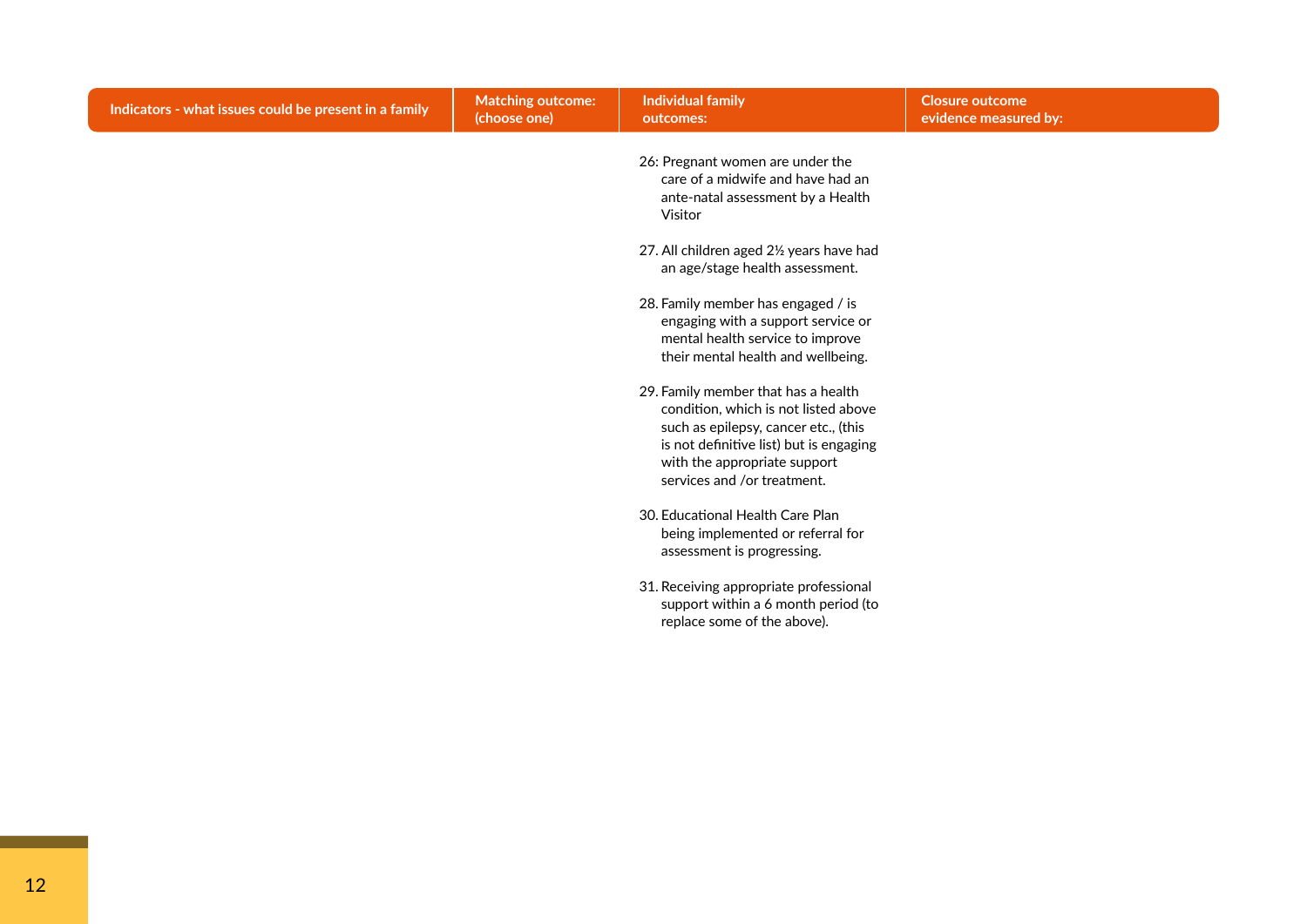| Indicators - what issues could be present in a family | <b>Matching outcome:</b><br>(choose one) | <b>Individual family</b><br>outcomes:                                                                                                                                                                                                                                                                                                                                                                                                                                                                                                                                                                                                                                                                                                                                                                               | <b>Closure outcome</b><br>evidence measured by: |
|-------------------------------------------------------|------------------------------------------|---------------------------------------------------------------------------------------------------------------------------------------------------------------------------------------------------------------------------------------------------------------------------------------------------------------------------------------------------------------------------------------------------------------------------------------------------------------------------------------------------------------------------------------------------------------------------------------------------------------------------------------------------------------------------------------------------------------------------------------------------------------------------------------------------------------------|-------------------------------------------------|
|                                                       |                                          | 26: Pregnant women are under the<br>care of a midwife and have had an<br>ante-natal assessment by a Health<br>Visitor<br>27. All children aged 21/2 years have had<br>an age/stage health assessment.<br>28. Family member has engaged / is<br>engaging with a support service or<br>mental health service to improve<br>their mental health and wellbeing.<br>29. Family member that has a health<br>condition, which is not listed above<br>such as epilepsy, cancer etc., (this<br>is not definitive list) but is engaging<br>with the appropriate support<br>services and /or treatment.<br>30. Educational Health Care Plan<br>being implemented or referral for<br>assessment is progressing.<br>31. Receiving appropriate professional<br>support within a 6 month period (to<br>replace some of the above). |                                                 |
|                                                       |                                          |                                                                                                                                                                                                                                                                                                                                                                                                                                                                                                                                                                                                                                                                                                                                                                                                                     |                                                 |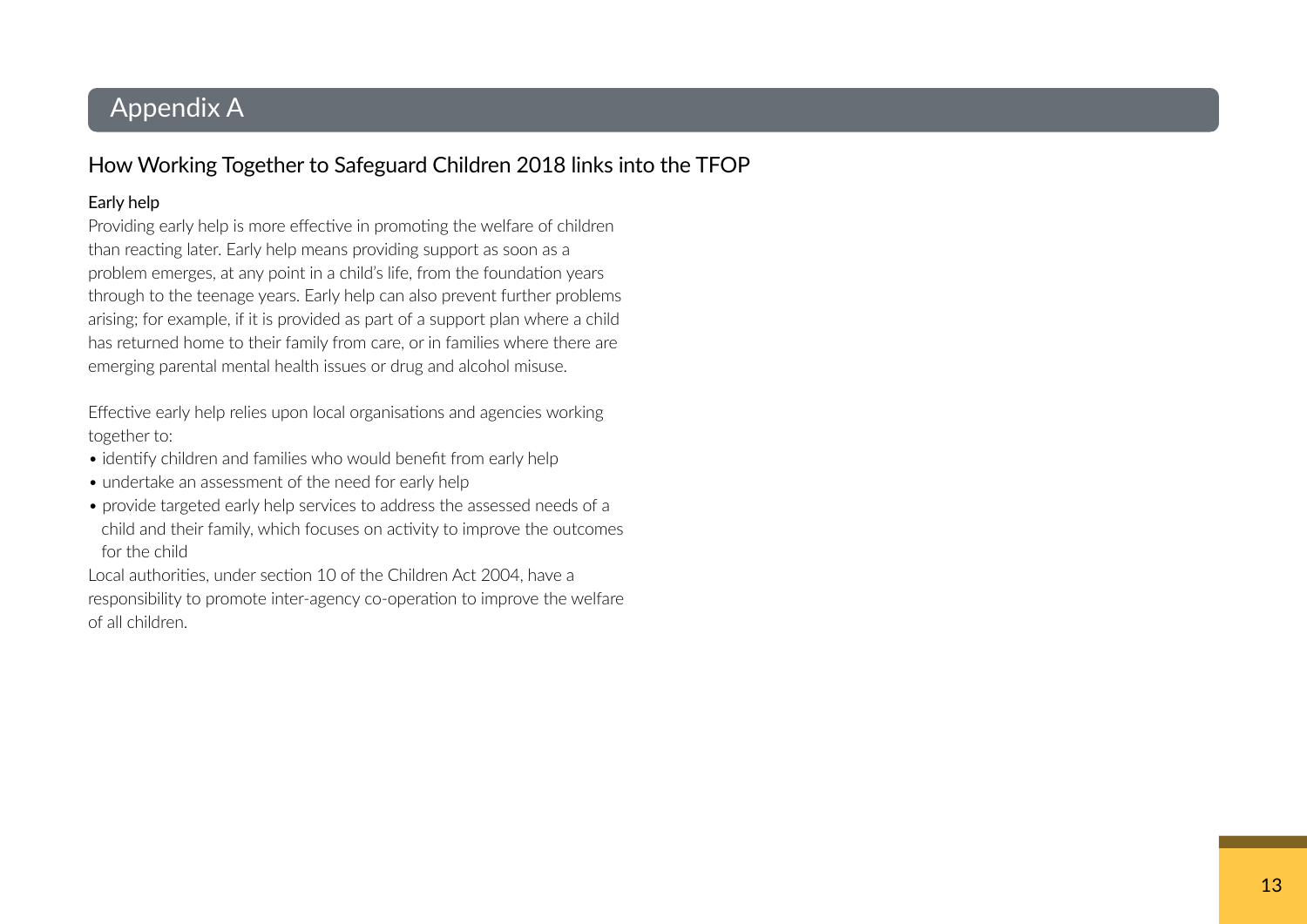## Appendix A

## How Working Together to Safeguard Children 2018 links into the TFOP

#### Early help

 Providing early help is more effective in promoting the welfare of children than reacting later. Early help means providing support as soon as a problem emerges, at any point in a child's life, from the foundation years through to the teenage years. Early help can also prevent further problems arising; for example, if it is provided as part of a support plan where a child has returned home to their family from care, or in families where there are emerging parental mental health issues or drug and alcohol misuse.

 Effective early help relies upon local organisations and agencies working together to:

- identify children and families who would benefit from early help
- undertake an assessment of the need for early help
- provide targeted early help services to address the assessed needs of a child and their family, which focuses on activity to improve the outcomes for the child

 Local authorities, under section 10 of the Children Act 2004, have a responsibility to promote inter-agency co-operation to improve the welfare of all children.